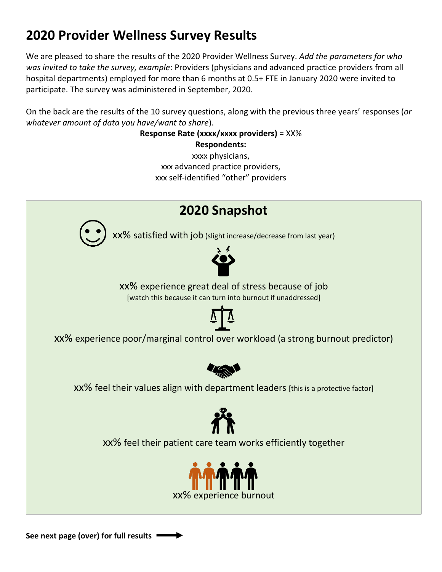## **2020 Provider Wellness Survey Results**

We are pleased to share the results of the 2020 Provider Wellness Survey. *Add the parameters for who was invited to take the survey, example*: Providers (physicians and advanced practice providers from all hospital departments) employed for more than 6 months at 0.5+ FTE in January 2020 were invited to participate. The survey was administered in September, 2020.

On the back are the results of the 10 survey questions, along with the previous three years' responses (*or whatever amount of data you have/want to share*).

> **Response Rate (xxxx/xxxx providers)** = XX% **Respondents:**

xxxx physicians, xxx advanced practice providers, xxx self-identified "other" providers



**See next page (over) for full results**